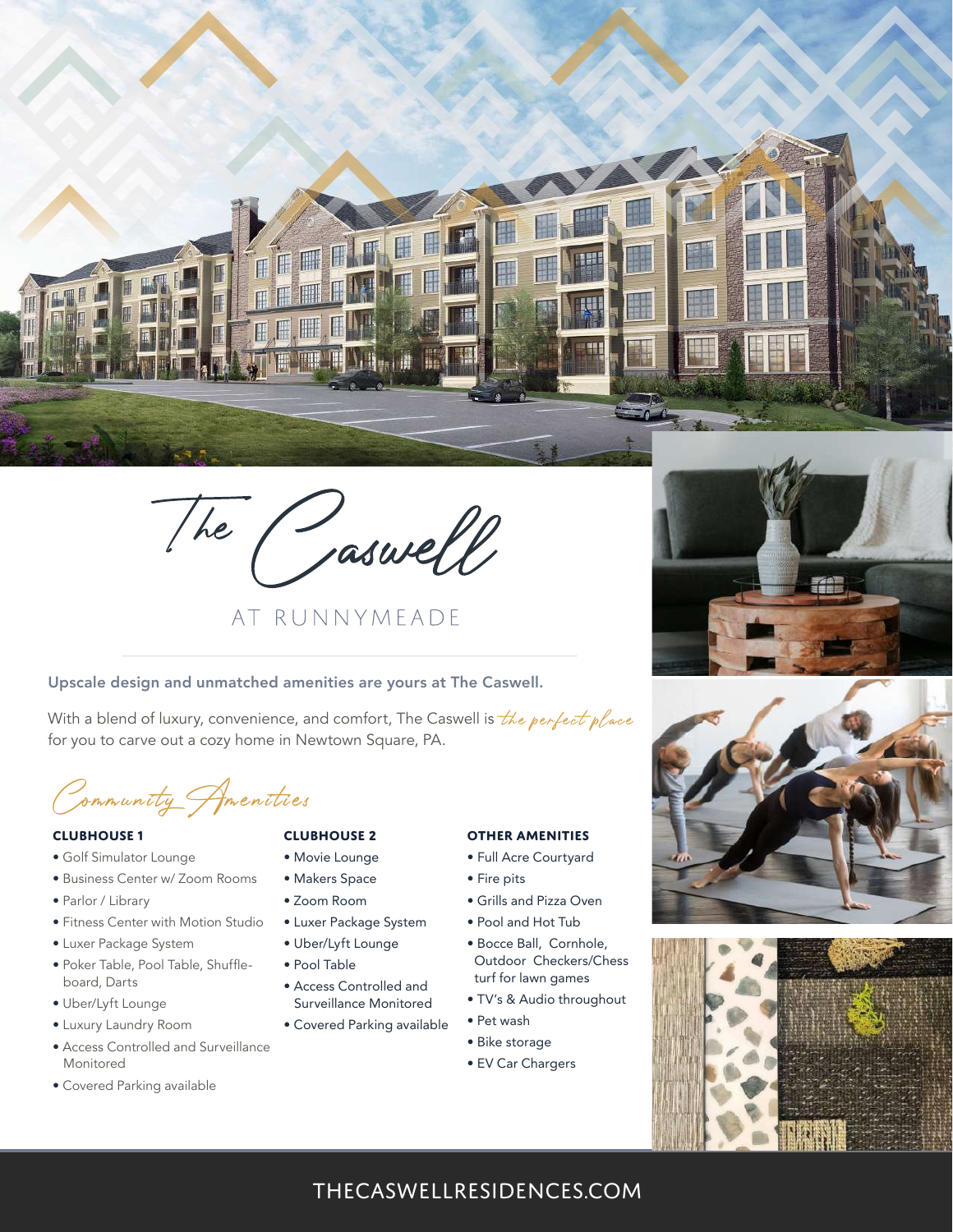

The Caswell

## AT RUNNYMFADE

#### Upscale design and unmatched amenities are yours at The Caswell.

With a blend of luxury, convenience, and comfort, The Caswell is *the perfect place*<br>for you to carve out a cozy home in Newtown Square, PA.

Community Amenities

#### **CLUBHOUSE 1**

- Golf Simulator Lounge
- Business Center w/ Zoom Rooms
- Parlor / Library
- Fitness Center with Motion Studio
- Luxer Package System
- Poker Table, Pool Table, Shuffle board, Darts
- Uber/Lyft Lounge
- Luxury Laundry Room
- Access Controlled and Surveillance Monitored
- Covered Parking available

#### **CLUBHOUSE 2**

• Makers Space • Zoom Room

• Luxer Package System • Uber/Lyft Lounge • Pool Table

• Access Controlled and Surveillance Monitored

- Movie Lounge • Full Acre Courtyard
	- Fire pits
	- Grills and Pizza Oven

**OTHER AMENITIES**

- Pool and Hot Tub
- Bocce Ball, Cornhole, Outdoor Checkers/Chess turf for lawn games
- TV's & Audio throughout
- Covered Parking available • Pet wash
	- Bike storage
	- EV Car Chargers







### thecaswellresidences.com